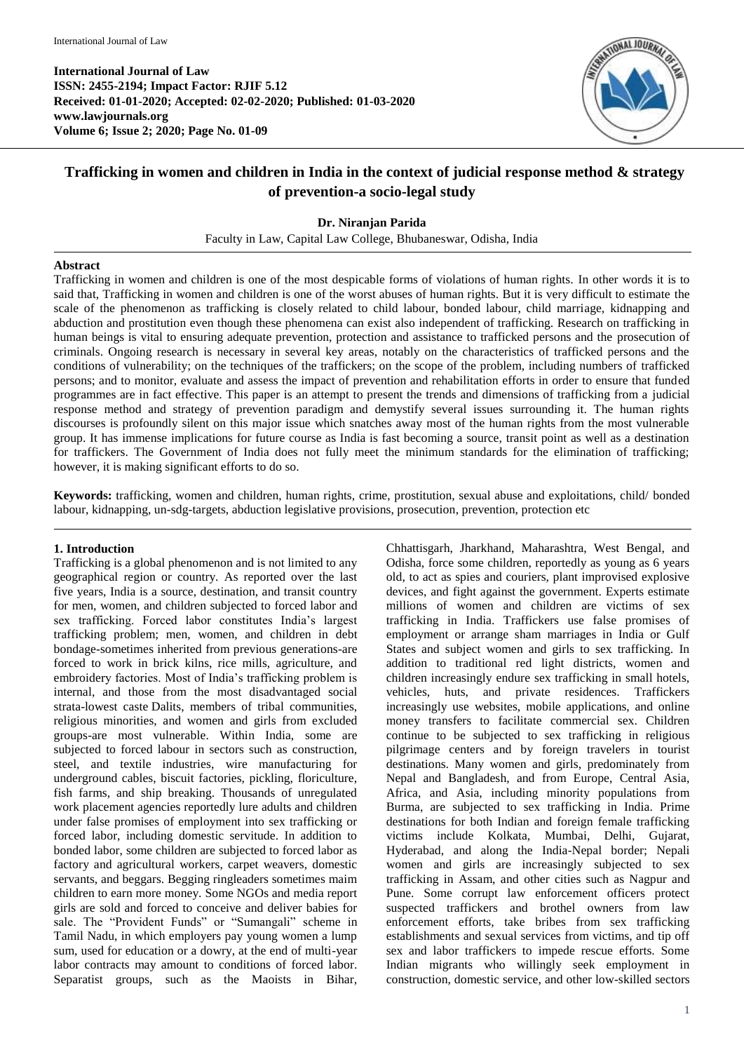

# **Trafficking in women and children in India in the context of judicial response method & strategy of prevention-a socio-legal study**

# **Dr. Niranjan Parida**

Faculty in Law, Capital Law College, Bhubaneswar, Odisha, India

#### **Abstract**

Trafficking in women and children is one of the most despicable forms of violations of human rights. In other words it is to said that, Trafficking in women and children is one of the worst abuses of human rights. But it is very difficult to estimate the scale of the phenomenon as trafficking is closely related to child labour, bonded labour, child marriage, kidnapping and abduction and prostitution even though these phenomena can exist also independent of trafficking. Research on trafficking in human beings is vital to ensuring adequate prevention, protection and assistance to trafficked persons and the prosecution of criminals. Ongoing research is necessary in several key areas, notably on the characteristics of trafficked persons and the conditions of vulnerability; on the techniques of the traffickers; on the scope of the problem, including numbers of trafficked persons; and to monitor, evaluate and assess the impact of prevention and rehabilitation efforts in order to ensure that funded programmes are in fact effective. This paper is an attempt to present the trends and dimensions of trafficking from a judicial response method and strategy of prevention paradigm and demystify several issues surrounding it. The human rights discourses is profoundly silent on this major issue which snatches away most of the human rights from the most vulnerable group. It has immense implications for future course as India is fast becoming a source, transit point as well as a destination for traffickers. The Government of India does not fully meet the minimum standards for the elimination of trafficking; however, it is making significant efforts to do so.

**Keywords:** trafficking, women and children, human rights, crime, prostitution, sexual abuse and exploitations, child/ bonded labour, kidnapping, un-sdg-targets, abduction legislative provisions, prosecution, prevention, protection etc

### **1. Introduction**

Trafficking is a global phenomenon and is not limited to any geographical region or country. As reported over the last five years, India is a source, destination, and transit country for men, women, and children subjected to forced labor and sex trafficking. Forced labor constitutes India's largest trafficking problem; men, women, and children in debt bondage-sometimes inherited from previous generations-are forced to work in brick kilns, rice mills, agriculture, and embroidery factories. Most of India's trafficking problem is internal, and those from the most disadvantaged social strata-lowest caste Dalits, members of tribal communities, religious minorities, and women and girls from excluded groups-are most vulnerable. Within India, some are subjected to forced labour in sectors such as construction, steel, and textile industries, wire manufacturing for underground cables, biscuit factories, pickling, floriculture, fish farms, and ship breaking. Thousands of unregulated work placement agencies reportedly lure adults and children under false promises of employment into sex trafficking or forced labor, including domestic servitude. In addition to bonded labor, some children are subjected to forced labor as factory and agricultural workers, carpet weavers, domestic servants, and beggars. Begging ringleaders sometimes maim children to earn more money. Some NGOs and media report girls are sold and forced to conceive and deliver babies for sale. The "Provident Funds" or "Sumangali" scheme in Tamil Nadu, in which employers pay young women a lump sum, used for education or a dowry, at the end of multi-year labor contracts may amount to conditions of forced labor. Separatist groups, such as the Maoists in Bihar, Chhattisgarh, Jharkhand, Maharashtra, West Bengal, and Odisha, force some children, reportedly as young as 6 years old, to act as spies and couriers, plant improvised explosive devices, and fight against the government. Experts estimate millions of women and children are victims of sex trafficking in India. Traffickers use false promises of employment or arrange sham marriages in India or Gulf States and subject women and girls to sex trafficking. In addition to traditional red light districts, women and children increasingly endure sex trafficking in small hotels, vehicles, huts, and private residences. Traffickers increasingly use websites, mobile applications, and online money transfers to facilitate commercial sex. Children continue to be subjected to sex trafficking in religious pilgrimage centers and by foreign travelers in tourist destinations. Many women and girls, predominately from Nepal and Bangladesh, and from Europe, Central Asia, Africa, and Asia, including minority populations from Burma, are subjected to sex trafficking in India. Prime destinations for both Indian and foreign female trafficking victims include Kolkata, Mumbai, Delhi, Gujarat, Hyderabad, and along the India-Nepal border; Nepali women and girls are increasingly subjected to sex trafficking in Assam, and other cities such as Nagpur and Pune. Some corrupt law enforcement officers protect suspected traffickers and brothel owners from law enforcement efforts, take bribes from sex trafficking establishments and sexual services from victims, and tip off sex and labor traffickers to impede rescue efforts. Some Indian migrants who willingly seek employment in construction, domestic service, and other low-skilled sectors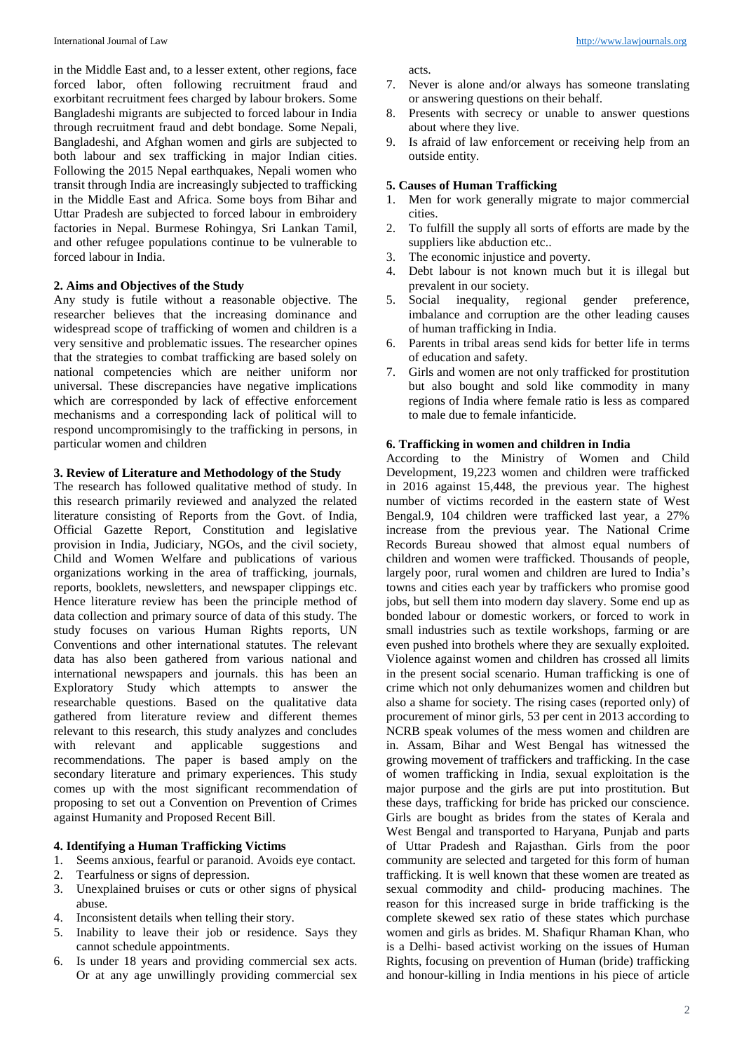in the Middle East and, to a lesser extent, other regions, face forced labor, often following recruitment fraud and exorbitant recruitment fees charged by labour brokers. Some Bangladeshi migrants are subjected to forced labour in India through recruitment fraud and debt bondage. Some Nepali, Bangladeshi, and Afghan women and girls are subjected to both labour and sex trafficking in major Indian cities. Following the 2015 Nepal earthquakes, Nepali women who transit through India are increasingly subjected to trafficking in the Middle East and Africa. Some boys from Bihar and Uttar Pradesh are subjected to forced labour in embroidery factories in Nepal. Burmese Rohingya, Sri Lankan Tamil, and other refugee populations continue to be vulnerable to forced labour in India.

# **2. Aims and Objectives of the Study**

Any study is futile without a reasonable objective. The researcher believes that the increasing dominance and widespread scope of trafficking of women and children is a very sensitive and problematic issues. The researcher opines that the strategies to combat trafficking are based solely on national competencies which are neither uniform nor universal. These discrepancies have negative implications which are corresponded by lack of effective enforcement mechanisms and a corresponding lack of political will to respond uncompromisingly to the trafficking in persons, in particular women and children

#### **3. Review of Literature and Methodology of the Study**

The research has followed qualitative method of study. In this research primarily reviewed and analyzed the related literature consisting of Reports from the Govt. of India, Official Gazette Report, Constitution and legislative provision in India, Judiciary, NGOs, and the civil society, Child and Women Welfare and publications of various organizations working in the area of trafficking, journals, reports, booklets, newsletters, and newspaper clippings etc. Hence literature review has been the principle method of data collection and primary source of data of this study. The study focuses on various Human Rights reports, UN Conventions and other international statutes. The relevant data has also been gathered from various national and international newspapers and journals. this has been an Exploratory Study which attempts to answer the researchable questions. Based on the qualitative data gathered from literature review and different themes relevant to this research, this study analyzes and concludes with relevant and applicable suggestions and recommendations. The paper is based amply on the secondary literature and primary experiences. This study comes up with the most significant recommendation of proposing to set out a Convention on Prevention of Crimes against Humanity and Proposed Recent Bill.

# **4. Identifying a Human Trafficking Victims**

- 1. Seems anxious, fearful or paranoid. Avoids eye contact.
- 2. Tearfulness or signs of depression.<br>3. Unexplained bruises or cuts or other
- Unexplained bruises or cuts or other signs of physical abuse.
- 4. Inconsistent details when telling their story.
- 5. Inability to leave their job or residence. Says they cannot schedule appointments.
- 6. Is under 18 years and providing commercial sex acts. Or at any age unwillingly providing commercial sex

acts.

- 7. Never is alone and/or always has someone translating or answering questions on their behalf.
- 8. Presents with secrecy or unable to answer questions about where they live.
- 9. Is afraid of law enforcement or receiving help from an outside entity.

#### **5. Causes of Human Trafficking**

- 1. Men for work generally migrate to major commercial cities.
- 2. To fulfill the supply all sorts of efforts are made by the suppliers like abduction etc..
- 3. The economic injustice and poverty.
- 4. Debt labour is not known much but it is illegal but prevalent in our society.
- 5. Social inequality, regional gender preference, imbalance and corruption are the other leading causes of human trafficking in India.
- 6. Parents in tribal areas send kids for better life in terms of education and safety.
- 7. Girls and women are not only trafficked for prostitution but also bought and sold like commodity in many regions of India where female ratio is less as compared to male due to female infanticide.

#### **6. Trafficking in women and children in India**

According to the Ministry of Women and Child Development, 19,223 women and children were trafficked in 2016 against 15,448, the previous year. The highest number of victims recorded in the eastern state of West Bengal.9, 104 children were trafficked last year, a 27% increase from the previous year. The National Crime Records Bureau showed that almost equal numbers of children and women were trafficked. Thousands of people, largely poor, rural women and children are lured to India's towns and cities each year by traffickers who promise good jobs, but sell them into modern day slavery. Some end up as bonded labour or domestic workers, or forced to work in small industries such as textile workshops, farming or are even pushed into brothels where they are sexually exploited. Violence against women and children has crossed all limits in the present social scenario. Human trafficking is one of crime which not only dehumanizes women and children but also a shame for society. The rising cases (reported only) of procurement of minor girls, 53 per cent in 2013 according to NCRB speak volumes of the mess women and children are in. Assam, Bihar and West Bengal has witnessed the growing movement of traffickers and trafficking. In the case of women trafficking in India, sexual exploitation is the major purpose and the girls are put into prostitution. But these days, trafficking for bride has pricked our conscience. Girls are bought as brides from the states of Kerala and West Bengal and transported to Haryana, Punjab and parts of Uttar Pradesh and Rajasthan. Girls from the poor community are selected and targeted for this form of human trafficking. It is well known that these women are treated as sexual commodity and child- producing machines. The reason for this increased surge in bride trafficking is the complete skewed sex ratio of these states which purchase women and girls as brides. M. Shafiqur Rhaman Khan, who is a Delhi- based activist working on the issues of Human Rights, focusing on prevention of Human (bride) trafficking and honour-killing in India mentions in his piece of article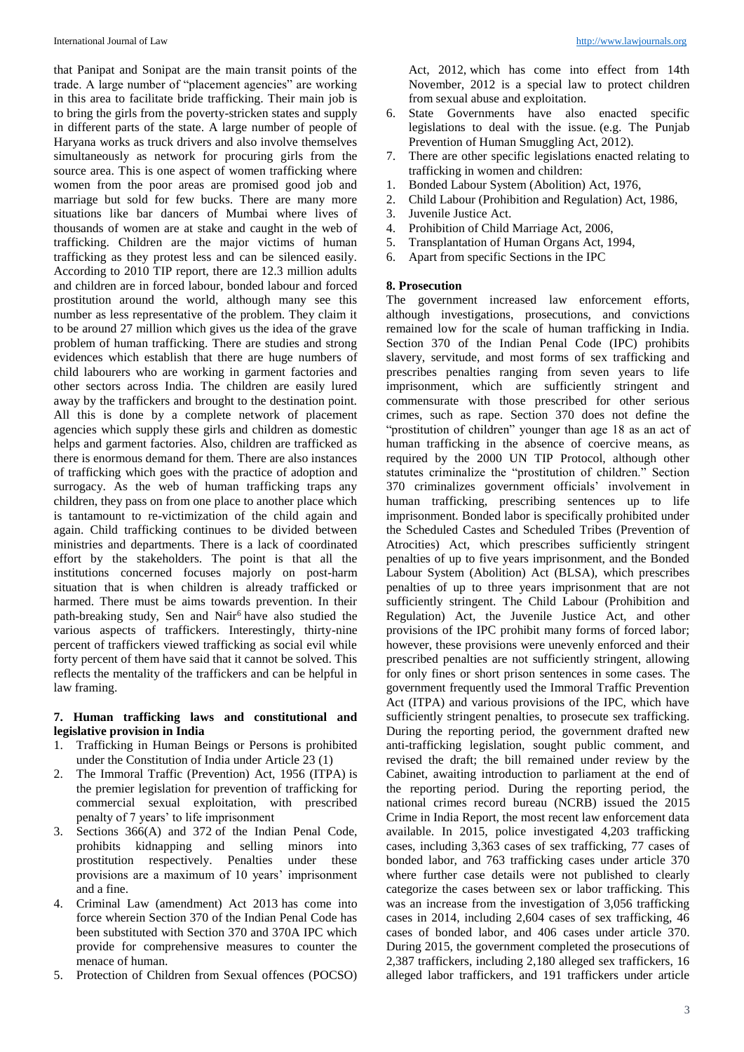that Panipat and Sonipat are the main transit points of the trade. A large number of "placement agencies" are working in this area to facilitate bride trafficking. Their main job is to bring the girls from the poverty-stricken states and supply in different parts of the state. A large number of people of Haryana works as truck drivers and also involve themselves simultaneously as network for procuring girls from the source area. This is one aspect of women trafficking where women from the poor areas are promised good job and marriage but sold for few bucks. There are many more situations like bar dancers of Mumbai where lives of thousands of women are at stake and caught in the web of trafficking. Children are the major victims of human trafficking as they protest less and can be silenced easily. According to 2010 TIP report, there are 12.3 million adults and children are in forced labour, bonded labour and forced prostitution around the world, although many see this number as less representative of the problem. They claim it to be around 27 million which gives us the idea of the grave problem of human trafficking. There are studies and strong evidences which establish that there are huge numbers of child labourers who are working in garment factories and other sectors across India. The children are easily lured away by the traffickers and brought to the destination point. All this is done by a complete network of placement agencies which supply these girls and children as domestic helps and garment factories. Also, children are trafficked as there is enormous demand for them. There are also instances of trafficking which goes with the practice of adoption and surrogacy. As the web of human trafficking traps any children, they pass on from one place to another place which is tantamount to re-victimization of the child again and again. Child trafficking continues to be divided between ministries and departments. There is a lack of coordinated effort by the stakeholders. The point is that all the institutions concerned focuses majorly on post-harm situation that is when children is already trafficked or harmed. There must be aims towards prevention. In their path-breaking study, Sen and Nair<sup>6</sup> have also studied the various aspects of traffickers. Interestingly, thirty-nine percent of traffickers viewed trafficking as social evil while forty percent of them have said that it cannot be solved. This reflects the mentality of the traffickers and can be helpful in law framing.

#### **7. Human trafficking laws and constitutional and legislative provision in India**

- 1. Trafficking in Human Beings or Persons is prohibited under the Constitution of India under Article 23 (1)
- 2. The Immoral Traffic (Prevention) Act, 1956 (ITPA) is the premier legislation for prevention of trafficking for commercial sexual exploitation, with prescribed penalty of 7 years' to life imprisonment
- 3. Sections 366(A) and 372 of the Indian Penal Code, prohibits kidnapping and selling minors into prostitution respectively. Penalties under these provisions are a maximum of 10 years' imprisonment and a fine.
- 4. Criminal Law (amendment) Act 2013 has come into force wherein Section 370 of the Indian Penal Code has been substituted with Section 370 and 370A IPC which provide for comprehensive measures to counter the menace of human.
- 5. Protection of Children from Sexual offences (POCSO)

Act, 2012, which has come into effect from 14th November, 2012 is a special law to protect children from sexual abuse and exploitation.

- 6. State Governments have also enacted specific legislations to deal with the issue. (e.g. The Punjab Prevention of Human Smuggling Act, 2012).
- 7. There are other specific legislations enacted relating to trafficking in women and children:
- 1. Bonded Labour System (Abolition) Act, 1976,
- 2. Child Labour (Prohibition and Regulation) Act, 1986,
- 3. Juvenile Justice Act.
- 4. Prohibition of Child Marriage Act, 2006,
- 5. Transplantation of Human Organs Act, 1994,
- 6. Apart from specific Sections in the IPC

#### **8. Prosecution**

The government increased law enforcement efforts, although investigations, prosecutions, and convictions remained low for the scale of human trafficking in India. Section 370 of the Indian Penal Code (IPC) prohibits slavery, servitude, and most forms of sex trafficking and prescribes penalties ranging from seven years to life imprisonment, which are sufficiently stringent and commensurate with those prescribed for other serious crimes, such as rape. Section 370 does not define the "prostitution of children" younger than age 18 as an act of human trafficking in the absence of coercive means, as required by the 2000 UN TIP Protocol, although other statutes criminalize the "prostitution of children." Section 370 criminalizes government officials' involvement in human trafficking, prescribing sentences up to life imprisonment. Bonded labor is specifically prohibited under the Scheduled Castes and Scheduled Tribes (Prevention of Atrocities) Act, which prescribes sufficiently stringent penalties of up to five years imprisonment, and the Bonded Labour System (Abolition) Act (BLSA), which prescribes penalties of up to three years imprisonment that are not sufficiently stringent. The Child Labour (Prohibition and Regulation) Act, the Juvenile Justice Act, and other provisions of the IPC prohibit many forms of forced labor; however, these provisions were unevenly enforced and their prescribed penalties are not sufficiently stringent, allowing for only fines or short prison sentences in some cases. The government frequently used the Immoral Traffic Prevention Act (ITPA) and various provisions of the IPC, which have sufficiently stringent penalties, to prosecute sex trafficking. During the reporting period, the government drafted new anti-trafficking legislation, sought public comment, and revised the draft; the bill remained under review by the Cabinet, awaiting introduction to parliament at the end of the reporting period. During the reporting period, the national crimes record bureau (NCRB) issued the 2015 Crime in India Report, the most recent law enforcement data available. In 2015, police investigated 4,203 trafficking cases, including 3,363 cases of sex trafficking, 77 cases of bonded labor, and 763 trafficking cases under article 370 where further case details were not published to clearly categorize the cases between sex or labor trafficking. This was an increase from the investigation of 3,056 trafficking cases in 2014, including 2,604 cases of sex trafficking, 46 cases of bonded labor, and 406 cases under article 370. During 2015, the government completed the prosecutions of 2,387 traffickers, including 2,180 alleged sex traffickers, 16 alleged labor traffickers, and 191 traffickers under article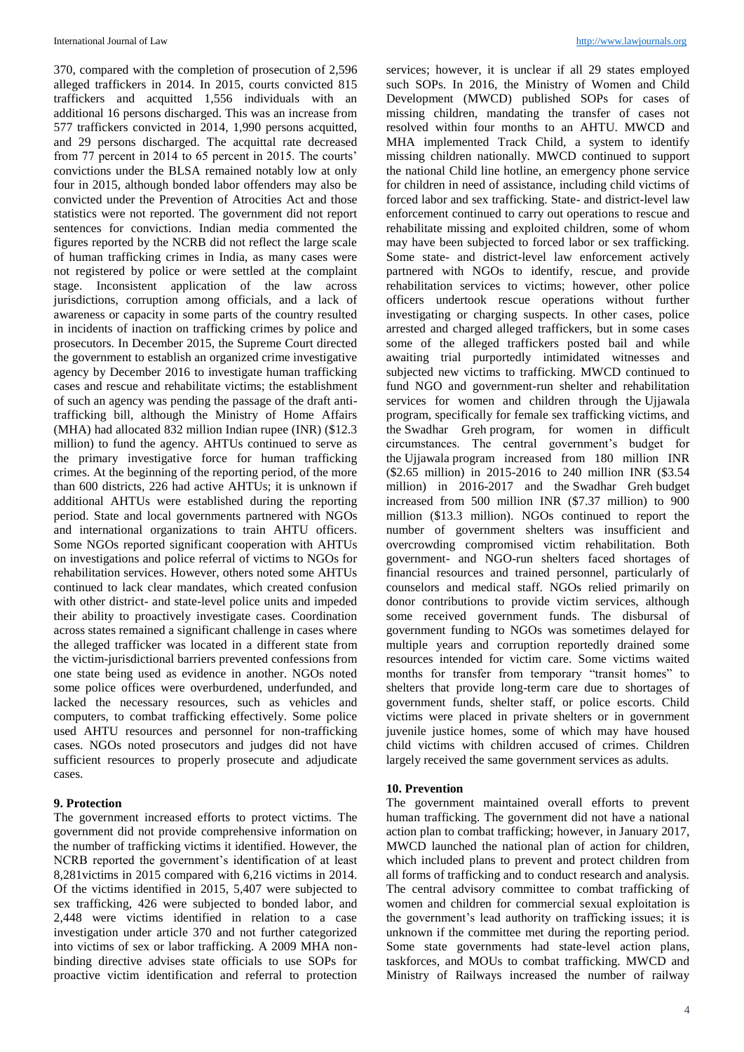370, compared with the completion of prosecution of 2,596 alleged traffickers in 2014. In 2015, courts convicted 815 traffickers and acquitted 1,556 individuals with an additional 16 persons discharged. This was an increase from 577 traffickers convicted in 2014, 1,990 persons acquitted, and 29 persons discharged. The acquittal rate decreased from 77 percent in 2014 to 65 percent in 2015. The courts' convictions under the BLSA remained notably low at only four in 2015, although bonded labor offenders may also be convicted under the Prevention of Atrocities Act and those statistics were not reported. The government did not report sentences for convictions. Indian media commented the figures reported by the NCRB did not reflect the large scale of human trafficking crimes in India, as many cases were not registered by police or were settled at the complaint stage. Inconsistent application of the law across jurisdictions, corruption among officials, and a lack of awareness or capacity in some parts of the country resulted in incidents of inaction on trafficking crimes by police and prosecutors. In December 2015, the Supreme Court directed the government to establish an organized crime investigative agency by December 2016 to investigate human trafficking cases and rescue and rehabilitate victims; the establishment of such an agency was pending the passage of the draft antitrafficking bill, although the Ministry of Home Affairs (MHA) had allocated 832 million Indian rupee (INR) (\$12.3 million) to fund the agency. AHTUs continued to serve as the primary investigative force for human trafficking crimes. At the beginning of the reporting period, of the more than 600 districts, 226 had active AHTUs; it is unknown if additional AHTUs were established during the reporting period. State and local governments partnered with NGOs and international organizations to train AHTU officers. Some NGOs reported significant cooperation with AHTUs on investigations and police referral of victims to NGOs for rehabilitation services. However, others noted some AHTUs continued to lack clear mandates, which created confusion with other district- and state-level police units and impeded their ability to proactively investigate cases. Coordination across states remained a significant challenge in cases where the alleged trafficker was located in a different state from the victim-jurisdictional barriers prevented confessions from one state being used as evidence in another. NGOs noted some police offices were overburdened, underfunded, and lacked the necessary resources, such as vehicles and computers, to combat trafficking effectively. Some police used AHTU resources and personnel for non-trafficking cases. NGOs noted prosecutors and judges did not have sufficient resources to properly prosecute and adjudicate cases.

#### **9. Protection**

The government increased efforts to protect victims. The government did not provide comprehensive information on the number of trafficking victims it identified. However, the NCRB reported the government's identification of at least 8,281victims in 2015 compared with 6,216 victims in 2014. Of the victims identified in 2015, 5,407 were subjected to sex trafficking, 426 were subjected to bonded labor, and 2,448 were victims identified in relation to a case investigation under article 370 and not further categorized into victims of sex or labor trafficking. A 2009 MHA nonbinding directive advises state officials to use SOPs for proactive victim identification and referral to protection

services; however, it is unclear if all 29 states employed such SOPs. In 2016, the Ministry of Women and Child Development (MWCD) published SOPs for cases of missing children, mandating the transfer of cases not resolved within four months to an AHTU. MWCD and MHA implemented Track Child, a system to identify missing children nationally. MWCD continued to support the national Child line hotline, an emergency phone service for children in need of assistance, including child victims of forced labor and sex trafficking. State- and district-level law enforcement continued to carry out operations to rescue and rehabilitate missing and exploited children, some of whom may have been subjected to forced labor or sex trafficking. Some state- and district-level law enforcement actively partnered with NGOs to identify, rescue, and provide rehabilitation services to victims; however, other police officers undertook rescue operations without further investigating or charging suspects. In other cases, police arrested and charged alleged traffickers, but in some cases some of the alleged traffickers posted bail and while awaiting trial purportedly intimidated witnesses and subjected new victims to trafficking. MWCD continued to fund NGO and government-run shelter and rehabilitation services for women and children through the Ujjawala program, specifically for female sex trafficking victims, and the Swadhar Greh program, for women in difficult circumstances. The central government's budget for the Ujjawala program increased from 180 million INR (\$2.65 million) in 2015-2016 to 240 million INR (\$3.54 million) in 2016-2017 and the Swadhar Greh budget increased from 500 million INR (\$7.37 million) to 900 million (\$13.3 million). NGOs continued to report the number of government shelters was insufficient and overcrowding compromised victim rehabilitation. Both government- and NGO-run shelters faced shortages of financial resources and trained personnel, particularly of counselors and medical staff. NGOs relied primarily on donor contributions to provide victim services, although some received government funds. The disbursal of government funding to NGOs was sometimes delayed for multiple years and corruption reportedly drained some resources intended for victim care. Some victims waited months for transfer from temporary "transit homes" to shelters that provide long-term care due to shortages of government funds, shelter staff, or police escorts. Child victims were placed in private shelters or in government juvenile justice homes, some of which may have housed child victims with children accused of crimes. Children largely received the same government services as adults.

#### **10. Prevention**

The government maintained overall efforts to prevent human trafficking. The government did not have a national action plan to combat trafficking; however, in January 2017, MWCD launched the national plan of action for children, which included plans to prevent and protect children from all forms of trafficking and to conduct research and analysis. The central advisory committee to combat trafficking of women and children for commercial sexual exploitation is the government's lead authority on trafficking issues; it is unknown if the committee met during the reporting period. Some state governments had state-level action plans, taskforces, and MOUs to combat trafficking. MWCD and Ministry of Railways increased the number of railway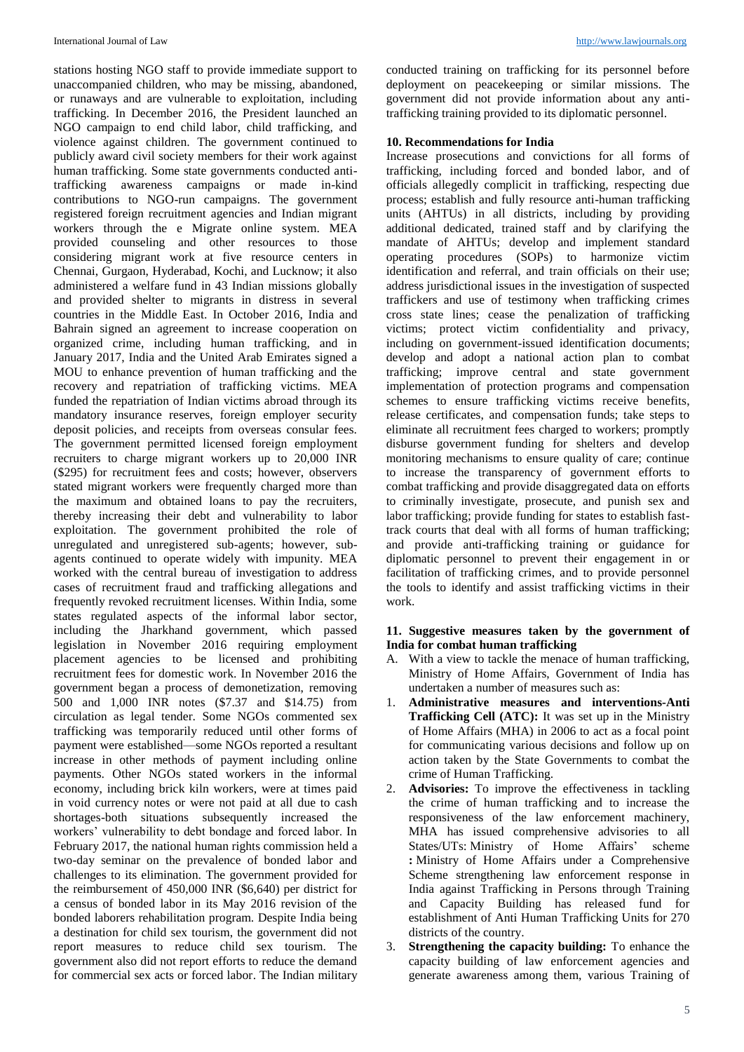stations hosting NGO staff to provide immediate support to unaccompanied children, who may be missing, abandoned, or runaways and are vulnerable to exploitation, including trafficking. In December 2016, the President launched an NGO campaign to end child labor, child trafficking, and violence against children. The government continued to publicly award civil society members for their work against human trafficking. Some state governments conducted antitrafficking awareness campaigns or made in-kind contributions to NGO-run campaigns. The government registered foreign recruitment agencies and Indian migrant workers through the e Migrate online system. MEA provided counseling and other resources to those considering migrant work at five resource centers in Chennai, Gurgaon, Hyderabad, Kochi, and Lucknow; it also administered a welfare fund in 43 Indian missions globally and provided shelter to migrants in distress in several countries in the Middle East. In October 2016, India and Bahrain signed an agreement to increase cooperation on organized crime, including human trafficking, and in January 2017, India and the United Arab Emirates signed a MOU to enhance prevention of human trafficking and the recovery and repatriation of trafficking victims. MEA funded the repatriation of Indian victims abroad through its mandatory insurance reserves, foreign employer security deposit policies, and receipts from overseas consular fees. The government permitted licensed foreign employment recruiters to charge migrant workers up to 20,000 INR (\$295) for recruitment fees and costs; however, observers stated migrant workers were frequently charged more than the maximum and obtained loans to pay the recruiters, thereby increasing their debt and vulnerability to labor exploitation. The government prohibited the role of unregulated and unregistered sub-agents; however, subagents continued to operate widely with impunity. MEA worked with the central bureau of investigation to address cases of recruitment fraud and trafficking allegations and frequently revoked recruitment licenses. Within India, some states regulated aspects of the informal labor sector, including the Jharkhand government, which passed legislation in November 2016 requiring employment placement agencies to be licensed and prohibiting recruitment fees for domestic work. In November 2016 the government began a process of demonetization, removing 500 and 1,000 INR notes (\$7.37 and \$14.75) from circulation as legal tender. Some NGOs commented sex trafficking was temporarily reduced until other forms of payment were established—some NGOs reported a resultant increase in other methods of payment including online payments. Other NGOs stated workers in the informal economy, including brick kiln workers, were at times paid in void currency notes or were not paid at all due to cash shortages-both situations subsequently increased the workers' vulnerability to debt bondage and forced labor. In February 2017, the national human rights commission held a two-day seminar on the prevalence of bonded labor and challenges to its elimination. The government provided for the reimbursement of 450,000 INR (\$6,640) per district for a census of bonded labor in its May 2016 revision of the bonded laborers rehabilitation program. Despite India being a destination for child sex tourism, the government did not report measures to reduce child sex tourism. The government also did not report efforts to reduce the demand for commercial sex acts or forced labor. The Indian military

conducted training on trafficking for its personnel before deployment on peacekeeping or similar missions. The government did not provide information about any antitrafficking training provided to its diplomatic personnel.

#### **10. Recommendations for India**

Increase prosecutions and convictions for all forms of trafficking, including forced and bonded labor, and of officials allegedly complicit in trafficking, respecting due process; establish and fully resource anti-human trafficking units (AHTUs) in all districts, including by providing additional dedicated, trained staff and by clarifying the mandate of AHTUs; develop and implement standard operating procedures (SOPs) to harmonize victim identification and referral, and train officials on their use; address jurisdictional issues in the investigation of suspected traffickers and use of testimony when trafficking crimes cross state lines; cease the penalization of trafficking victims; protect victim confidentiality and privacy, including on government-issued identification documents; develop and adopt a national action plan to combat trafficking; improve central and state government implementation of protection programs and compensation schemes to ensure trafficking victims receive benefits, release certificates, and compensation funds; take steps to eliminate all recruitment fees charged to workers; promptly disburse government funding for shelters and develop monitoring mechanisms to ensure quality of care; continue to increase the transparency of government efforts to combat trafficking and provide disaggregated data on efforts to criminally investigate, prosecute, and punish sex and labor trafficking; provide funding for states to establish fasttrack courts that deal with all forms of human trafficking; and provide anti-trafficking training or guidance for diplomatic personnel to prevent their engagement in or facilitation of trafficking crimes, and to provide personnel the tools to identify and assist trafficking victims in their work.

#### **11. Suggestive measures taken by the government of India for combat human trafficking**

- A. With a view to tackle the menace of human trafficking, Ministry of Home Affairs, Government of India has undertaken a number of measures such as:
- 1. **Administrative measures and interventions-Anti Trafficking Cell (ATC):** It was set up in the Ministry of Home Affairs (MHA) in 2006 to act as a focal point for communicating various decisions and follow up on action taken by the State Governments to combat the crime of Human Trafficking.
- 2. **Advisories:** To improve the effectiveness in tackling the crime of human trafficking and to increase the responsiveness of the law enforcement machinery, MHA has issued comprehensive advisories to all States/UTs: Ministry of Home Affairs' scheme **:** Ministry of Home Affairs under a Comprehensive Scheme strengthening law enforcement response in India against Trafficking in Persons through Training and Capacity Building has released fund for establishment of Anti Human Trafficking Units for 270 districts of the country.
- **Strengthening the capacity building:** To enhance the capacity building of law enforcement agencies and generate awareness among them, various Training of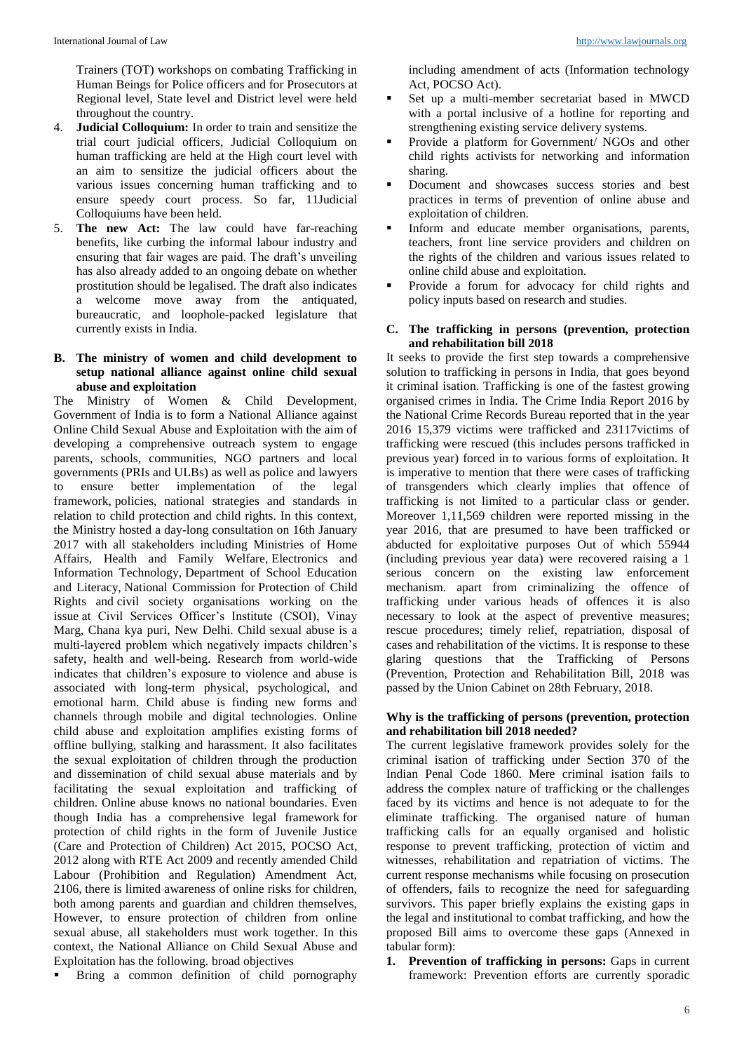Trainers (TOT) workshops on combating Trafficking in Human Beings for Police officers and for Prosecutors at Regional level, State level and District level were held throughout the country.

- 4. **Judicial Colloquium:** In order to train and sensitize the trial court judicial officers, Judicial Colloquium on human trafficking are held at the High court level with an aim to sensitize the judicial officers about the various issues concerning human trafficking and to ensure speedy court process. So far, 11Judicial Colloquiums have been held.
- 5. **The new Act:** The law could have far-reaching benefits, like curbing the informal labour industry and ensuring that fair wages are paid. The draft's unveiling has also already added to an ongoing debate on whether prostitution should be legalised. The draft also indicates a welcome move away from the antiquated, bureaucratic, and loophole-packed legislature that currently exists in India.

#### **B. The ministry of women and child development to setup national alliance against online child sexual abuse and exploitation**

The Ministry of Women & Child Development, Government of India is to form a National Alliance against Online Child Sexual Abuse and Exploitation with the aim of developing a comprehensive outreach system to engage parents, schools, communities, NGO partners and local governments (PRIs and ULBs) as well as police and lawyers<br>to ensure better implementation of the legal to ensure better implementation of the legal framework, policies, national strategies and standards in relation to child protection and child rights. In this context, the Ministry hosted a day-long consultation on 16th January 2017 with all stakeholders including Ministries of Home Affairs, Health and Family Welfare, Electronics and Information Technology, Department of School Education and Literacy, National Commission for Protection of Child Rights and civil society organisations working on the issue at Civil Services Officer's Institute (CSOI), Vinay Marg, Chana kya puri, New Delhi. Child sexual abuse is a multi-layered problem which negatively impacts children's safety, health and well-being. Research from world-wide indicates that children's exposure to violence and abuse is associated with long-term physical, psychological, and emotional harm. Child abuse is finding new forms and channels through mobile and digital technologies. Online child abuse and exploitation amplifies existing forms of offline bullying, stalking and harassment. It also facilitates the sexual exploitation of children through the production and dissemination of child sexual abuse materials and by facilitating the sexual exploitation and trafficking of children. Online abuse knows no national boundaries. Even though India has a comprehensive legal framework for protection of child rights in the form of Juvenile Justice (Care and Protection of Children) Act 2015, POCSO Act, 2012 along with RTE Act 2009 and recently amended Child Labour (Prohibition and Regulation) Amendment Act, 2106, there is limited awareness of online risks for children, both among parents and guardian and children themselves, However, to ensure protection of children from online sexual abuse, all stakeholders must work together. In this context, the National Alliance on Child Sexual Abuse and Exploitation has the following. broad objectives

Bring a common definition of child pornography

including amendment of acts (Information technology Act, POCSO Act).

- Set up a multi-member secretariat based in MWCD with a portal inclusive of a hotline for reporting and strengthening existing service delivery systems.
- Provide a platform for Government/ NGOs and other child rights activists for networking and information sharing.
- Document and showcases success stories and best practices in terms of prevention of online abuse and exploitation of children.
- Inform and educate member organisations, parents, teachers, front line service providers and children on the rights of the children and various issues related to online child abuse and exploitation.
- Provide a forum for advocacy for child rights and policy inputs based on research and studies.

#### **C. The trafficking in persons (prevention, protection and rehabilitation bill 2018**

It seeks to provide the first step towards a comprehensive solution to trafficking in persons in India, that goes beyond it criminal isation. Trafficking is one of the fastest growing organised crimes in India. The Crime India Report 2016 by the National Crime Records Bureau reported that in the year 2016 15,379 victims were trafficked and 23117victims of trafficking were rescued (this includes persons trafficked in previous year) forced in to various forms of exploitation. It is imperative to mention that there were cases of trafficking of transgenders which clearly implies that offence of trafficking is not limited to a particular class or gender. Moreover 1,11,569 children were reported missing in the year 2016, that are presumed to have been trafficked or abducted for exploitative purposes Out of which 55944 (including previous year data) were recovered raising a 1 serious concern on the existing law enforcement mechanism. apart from criminalizing the offence of trafficking under various heads of offences it is also necessary to look at the aspect of preventive measures; rescue procedures; timely relief, repatriation, disposal of cases and rehabilitation of the victims. It is response to these glaring questions that the Trafficking of Persons (Prevention, Protection and Rehabilitation Bill, 2018 was passed by the Union Cabinet on 28th February, 2018.

#### **Why is the trafficking of persons (prevention, protection and rehabilitation bill 2018 needed?**

The current legislative framework provides solely for the criminal isation of trafficking under Section 370 of the Indian Penal Code 1860. Mere criminal isation fails to address the complex nature of trafficking or the challenges faced by its victims and hence is not adequate to for the eliminate trafficking. The organised nature of human trafficking calls for an equally organised and holistic response to prevent trafficking, protection of victim and witnesses, rehabilitation and repatriation of victims. The current response mechanisms while focusing on prosecution of offenders, fails to recognize the need for safeguarding survivors. This paper briefly explains the existing gaps in the legal and institutional to combat trafficking, and how the proposed Bill aims to overcome these gaps (Annexed in tabular form):

**1. Prevention of trafficking in persons:** Gaps in current framework: Prevention efforts are currently sporadic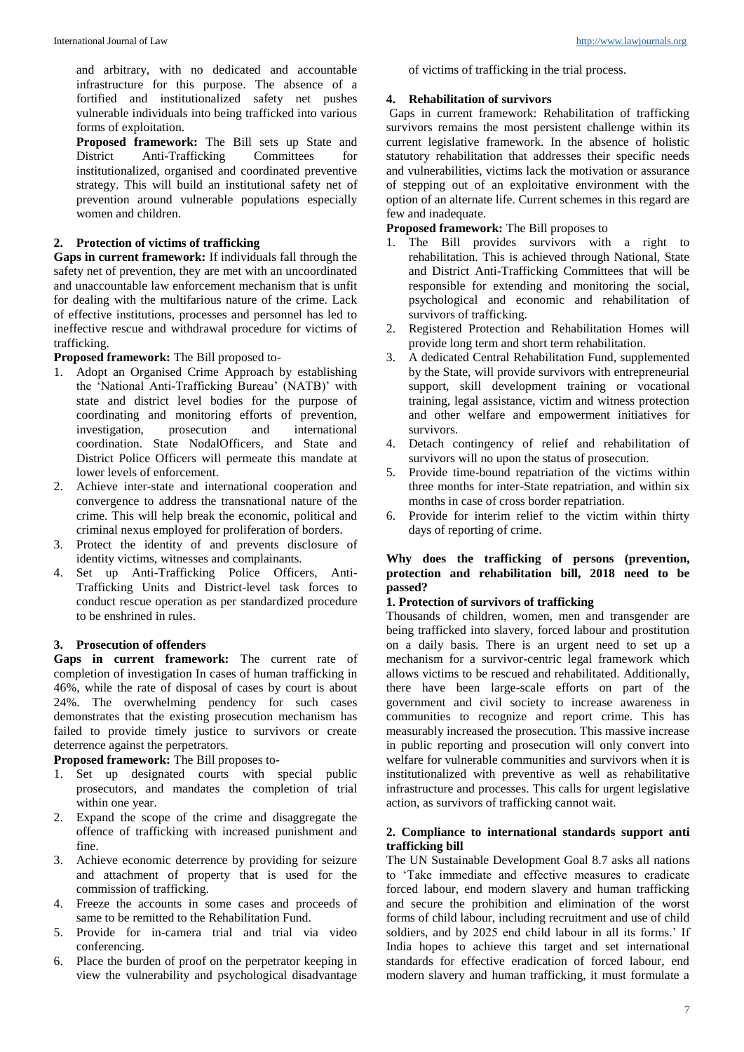and arbitrary, with no dedicated and accountable infrastructure for this purpose. The absence of a fortified and institutionalized safety net pushes vulnerable individuals into being trafficked into various forms of exploitation.

**Proposed framework:** The Bill sets up State and District Anti-Trafficking Committees for Anti-Trafficking Committees for institutionalized, organised and coordinated preventive strategy. This will build an institutional safety net of prevention around vulnerable populations especially women and children.

# **2. Protection of victims of trafficking**

**Gaps in current framework:** If individuals fall through the safety net of prevention, they are met with an uncoordinated and unaccountable law enforcement mechanism that is unfit for dealing with the multifarious nature of the crime. Lack of effective institutions, processes and personnel has led to ineffective rescue and withdrawal procedure for victims of trafficking.

**Proposed framework:** The Bill proposed to-

- 1. Adopt an Organised Crime Approach by establishing the 'National Anti-Trafficking Bureau' (NATB)' with state and district level bodies for the purpose of coordinating and monitoring efforts of prevention, investigation, prosecution and international coordination. State NodalOfficers, and State and District Police Officers will permeate this mandate at lower levels of enforcement.
- 2. Achieve inter-state and international cooperation and convergence to address the transnational nature of the crime. This will help break the economic, political and criminal nexus employed for proliferation of borders.
- 3. Protect the identity of and prevents disclosure of identity victims, witnesses and complainants.
- 4. Set up Anti-Trafficking Police Officers, Anti-Trafficking Units and District-level task forces to conduct rescue operation as per standardized procedure to be enshrined in rules.

### **3. Prosecution of offenders**

**Gaps in current framework:** The current rate of completion of investigation In cases of human trafficking in 46%, while the rate of disposal of cases by court is about 24%. The overwhelming pendency for such cases demonstrates that the existing prosecution mechanism has failed to provide timely justice to survivors or create deterrence against the perpetrators.

**Proposed framework:** The Bill proposes to-

- 1. Set up designated courts with special public prosecutors, and mandates the completion of trial within one year.
- 2. Expand the scope of the crime and disaggregate the offence of trafficking with increased punishment and fine.
- 3. Achieve economic deterrence by providing for seizure and attachment of property that is used for the commission of trafficking.
- 4. Freeze the accounts in some cases and proceeds of same to be remitted to the Rehabilitation Fund.
- 5. Provide for in-camera trial and trial via video conferencing.
- 6. Place the burden of proof on the perpetrator keeping in view the vulnerability and psychological disadvantage

of victims of trafficking in the trial process.

### **4. Rehabilitation of survivors**

Gaps in current framework: Rehabilitation of trafficking survivors remains the most persistent challenge within its current legislative framework. In the absence of holistic statutory rehabilitation that addresses their specific needs and vulnerabilities, victims lack the motivation or assurance of stepping out of an exploitative environment with the option of an alternate life. Current schemes in this regard are few and inadequate.

**Proposed framework:** The Bill proposes to

- 1. The Bill provides survivors with a right to rehabilitation. This is achieved through National, State and District Anti-Trafficking Committees that will be responsible for extending and monitoring the social, psychological and economic and rehabilitation of survivors of trafficking.
- 2. Registered Protection and Rehabilitation Homes will provide long term and short term rehabilitation.
- 3. A dedicated Central Rehabilitation Fund, supplemented by the State, will provide survivors with entrepreneurial support, skill development training or vocational training, legal assistance, victim and witness protection and other welfare and empowerment initiatives for survivors.
- 4. Detach contingency of relief and rehabilitation of survivors will no upon the status of prosecution.
- 5. Provide time-bound repatriation of the victims within three months for inter-State repatriation, and within six months in case of cross border repatriation.
- 6. Provide for interim relief to the victim within thirty days of reporting of crime.

### **Why does the trafficking of persons (prevention, protection and rehabilitation bill, 2018 need to be passed?**

### **1. Protection of survivors of trafficking**

Thousands of children, women, men and transgender are being trafficked into slavery, forced labour and prostitution on a daily basis. There is an urgent need to set up a mechanism for a survivor-centric legal framework which allows victims to be rescued and rehabilitated. Additionally, there have been large-scale efforts on part of the government and civil society to increase awareness in communities to recognize and report crime. This has measurably increased the prosecution. This massive increase in public reporting and prosecution will only convert into welfare for vulnerable communities and survivors when it is institutionalized with preventive as well as rehabilitative infrastructure and processes. This calls for urgent legislative action, as survivors of trafficking cannot wait.

# **2. Compliance to international standards support anti trafficking bill**

The UN Sustainable Development Goal 8.7 asks all nations to 'Take immediate and effective measures to eradicate forced labour, end modern slavery and human trafficking and secure the prohibition and elimination of the worst forms of child labour, including recruitment and use of child soldiers, and by 2025 end child labour in all its forms.' If India hopes to achieve this target and set international standards for effective eradication of forced labour, end modern slavery and human trafficking, it must formulate a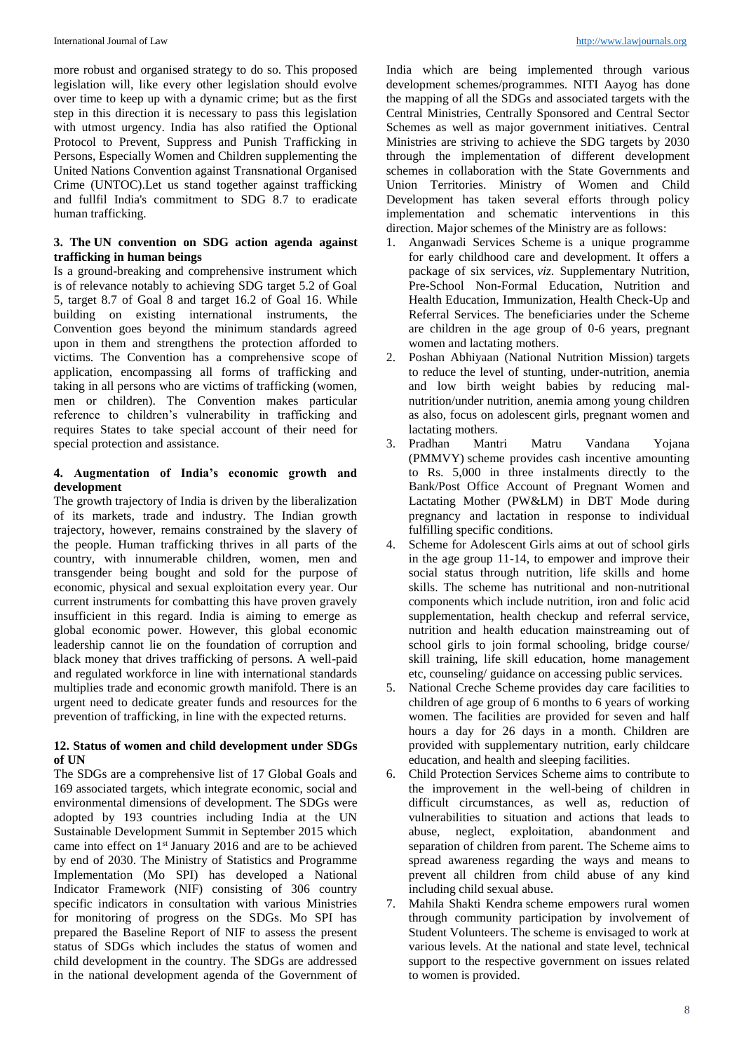more robust and organised strategy to do so. This proposed legislation will, like every other legislation should evolve over time to keep up with a dynamic crime; but as the first step in this direction it is necessary to pass this legislation with utmost urgency. India has also ratified the Optional Protocol to Prevent, Suppress and Punish Trafficking in Persons, Especially Women and Children supplementing the United Nations Convention against Transnational Organised Crime (UNTOC).Let us stand together against trafficking and fullfil India's commitment to SDG 8.7 to eradicate human trafficking.

### **3. The UN convention on SDG action agenda against trafficking in human beings**

Is a ground-breaking and comprehensive instrument which is of relevance notably to achieving SDG target 5.2 of Goal 5, target 8.7 of Goal 8 and target 16.2 of Goal 16. While building on existing international instruments, the Convention goes beyond the minimum standards agreed upon in them and strengthens the protection afforded to victims. The Convention has a comprehensive scope of application, encompassing all forms of trafficking and taking in all persons who are victims of trafficking (women, men or children). The Convention makes particular reference to children's vulnerability in trafficking and requires States to take special account of their need for special protection and assistance.

### **4. Augmentation of India's economic growth and development**

The growth trajectory of India is driven by the liberalization of its markets, trade and industry. The Indian growth trajectory, however, remains constrained by the slavery of the people. Human trafficking thrives in all parts of the country, with innumerable children, women, men and transgender being bought and sold for the purpose of economic, physical and sexual exploitation every year. Our current instruments for combatting this have proven gravely insufficient in this regard. India is aiming to emerge as global economic power. However, this global economic leadership cannot lie on the foundation of corruption and black money that drives trafficking of persons. A well-paid and regulated workforce in line with international standards multiplies trade and economic growth manifold. There is an urgent need to dedicate greater funds and resources for the prevention of trafficking, in line with the expected returns.

# **12. Status of women and child development under SDGs of UN**

The SDGs are a comprehensive list of 17 Global Goals and 169 associated targets, which integrate economic, social and environmental dimensions of development. The SDGs were adopted by 193 countries including India at the UN Sustainable Development Summit in September 2015 which came into effect on 1st January 2016 and are to be achieved by end of 2030. The Ministry of Statistics and Programme Implementation (Mo SPI) has developed a National Indicator Framework (NIF) consisting of 306 country specific indicators in consultation with various Ministries for monitoring of progress on the SDGs. Mo SPI has prepared the Baseline Report of NIF to assess the present status of SDGs which includes the status of women and child development in the country. The SDGs are addressed in the national development agenda of the Government of

India which are being implemented through various development schemes/programmes. NITI Aayog has done the mapping of all the SDGs and associated targets with the Central Ministries, Centrally Sponsored and Central Sector Schemes as well as major government initiatives. Central Ministries are striving to achieve the SDG targets by 2030 through the implementation of different development schemes in collaboration with the State Governments and Union Territories. Ministry of Women and Child Development has taken several efforts through policy implementation and schematic interventions in this direction. Major schemes of the Ministry are as follows:

- 1. Anganwadi Services Scheme is a unique programme for early childhood care and development. It offers a package of six services, *viz*. Supplementary Nutrition, Pre-School Non-Formal Education, Nutrition and Health Education, Immunization, Health Check-Up and Referral Services. The beneficiaries under the Scheme are children in the age group of 0-6 years, pregnant women and lactating mothers.
- 2. Poshan Abhiyaan (National Nutrition Mission) targets to reduce the level of stunting, under-nutrition, anemia and low birth weight babies by reducing malnutrition/under nutrition, anemia among young children as also, focus on adolescent girls, pregnant women and lactating mothers.<br>Pradhan Mantri
- 3. Pradhan Mantri Matru Vandana Yojana (PMMVY) scheme provides cash incentive amounting to Rs. 5,000 in three instalments directly to the Bank/Post Office Account of Pregnant Women and Lactating Mother (PW&LM) in DBT Mode during pregnancy and lactation in response to individual fulfilling specific conditions.
- 4. Scheme for Adolescent Girls aims at out of school girls in the age group 11-14, to empower and improve their social status through nutrition, life skills and home skills. The scheme has nutritional and non-nutritional components which include nutrition, iron and folic acid supplementation, health checkup and referral service, nutrition and health education mainstreaming out of school girls to join formal schooling, bridge course/ skill training, life skill education, home management etc, counseling/ guidance on accessing public services.
- 5. National Creche Scheme provides day care facilities to children of age group of 6 months to 6 years of working women. The facilities are provided for seven and half hours a day for 26 days in a month. Children are provided with supplementary nutrition, early childcare education, and health and sleeping facilities.
- 6. Child Protection Services Scheme aims to contribute to the improvement in the well-being of children in difficult circumstances, as well as, reduction of vulnerabilities to situation and actions that leads to abuse, neglect, exploitation, abandonment and separation of children from parent. The Scheme aims to spread awareness regarding the ways and means to prevent all children from child abuse of any kind including child sexual abuse.
- 7. Mahila Shakti Kendra scheme empowers rural women through community participation by involvement of Student Volunteers. The scheme is envisaged to work at various levels. At the national and state level, technical support to the respective government on issues related to women is provided.